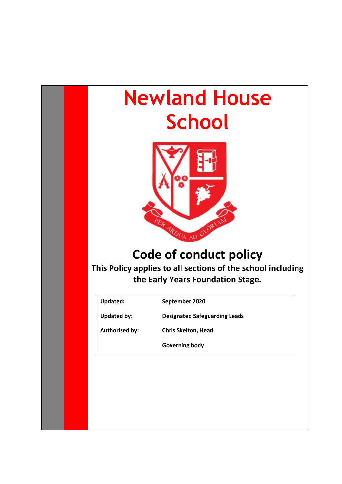# **Newland House School**



# **Code of conduct policy**

**This Policy applies to all sections of the school including the Early Years Foundation Stage.**

**Updated: September 2020**

**Updated by: Designated Safeguarding Leads**

**Authorised by: Chris Skelton, Head** 

**Governing body**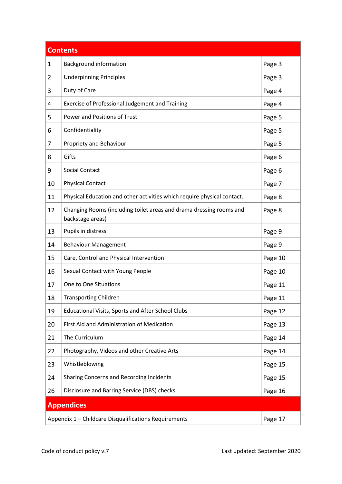| <b>Contents</b>                                                  |                                                                                         |         |
|------------------------------------------------------------------|-----------------------------------------------------------------------------------------|---------|
| 1                                                                | <b>Background information</b>                                                           | Page 3  |
| $\overline{2}$                                                   | <b>Underpinning Principles</b>                                                          | Page 3  |
| 3                                                                | Duty of Care                                                                            | Page 4  |
| 4                                                                | Exercise of Professional Judgement and Training                                         | Page 4  |
| 5                                                                | Power and Positions of Trust                                                            | Page 5  |
| 6                                                                | Confidentiality                                                                         | Page 5  |
| 7                                                                | Propriety and Behaviour                                                                 | Page 5  |
| 8                                                                | Gifts                                                                                   | Page 6  |
| 9                                                                | Social Contact                                                                          | Page 6  |
| 10                                                               | <b>Physical Contact</b>                                                                 | Page 7  |
| 11                                                               | Physical Education and other activities which require physical contact.                 | Page 8  |
| 12                                                               | Changing Rooms (including toilet areas and drama dressing rooms and<br>backstage areas) | Page 8  |
| 13                                                               | Pupils in distress                                                                      | Page 9  |
| 14                                                               | <b>Behaviour Management</b>                                                             | Page 9  |
| 15                                                               | Care, Control and Physical Intervention                                                 | Page 10 |
| 16                                                               | Sexual Contact with Young People                                                        | Page 10 |
| 17                                                               | One to One Situations                                                                   | Page 11 |
| 18                                                               | <b>Transporting Children</b>                                                            | Page 11 |
| 19                                                               | Educational Visits, Sports and After School Clubs                                       | Page 12 |
| 20                                                               | First Aid and Administration of Medication                                              | Page 13 |
| 21                                                               | The Curriculum                                                                          | Page 14 |
| 22                                                               | Photography, Videos and other Creative Arts                                             | Page 14 |
| 23                                                               | Whistleblowing                                                                          | Page 15 |
| 24                                                               | Sharing Concerns and Recording Incidents                                                | Page 15 |
| 26                                                               | Disclosure and Barring Service (DBS) checks                                             | Page 16 |
| <b>Appendices</b>                                                |                                                                                         |         |
| Appendix 1 - Childcare Disqualifications Requirements<br>Page 17 |                                                                                         |         |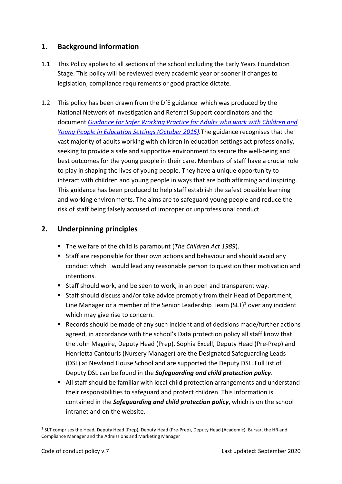# <span id="page-2-0"></span>**1. Background information**

- 1.1 This Policy applies to all sections of the school including the Early Years Foundation Stage. This policy will be reviewed every academic year or sooner if changes to legislation, compliance requirements or good practice dictate.
- 1.2 This policy has been drawn from the DfE guidance which was produced by the National Network of Investigation and Referral Support coordinators and the document *[Guidance for Safer Working Practice for Adults who work with Children and](http://www.safeguardinginschools.co.uk/wp-content/uploads/2015/10/Guidance-for-Safer-Working-Practices-2015-final1.pdf)  [Young People in Education Settings \(October 2015\).](http://www.safeguardinginschools.co.uk/wp-content/uploads/2015/10/Guidance-for-Safer-Working-Practices-2015-final1.pdf)*The guidance recognises that the vast majority of adults working with children in education settings act professionally, seeking to provide a safe and supportive environment to secure the well-being and best outcomes for the young people in their care. Members of staff have a crucial role to play in shaping the lives of young people. They have a unique opportunity to interact with children and young people in ways that are both affirming and inspiring. This guidance has been produced to help staff establish the safest possible learning and working environments. The aims are to safeguard young people and reduce the risk of staff being falsely accused of improper or unprofessional conduct.

# <span id="page-2-1"></span>**2. Underpinning principles**

- The welfare of the child is paramount (*The Children Act 1989*).
- Staff are responsible for their own actions and behaviour and should avoid any conduct which would lead any reasonable person to question their motivation and intentions.
- Staff should work, and be seen to work, in an open and transparent way.
- Staff should discuss and/or take advice promptly from their Head of Department, Line Manager or a member of the Senior Leadership Team (SLT) $1/1$  over any incident which may give rise to concern.
- Records should be made of any such incident and of decisions made/further actions agreed, in accordance with the school's Data protection policy all staff know that the John Maguire, Deputy Head (Prep), Sophia Excell, Deputy Head (Pre-Prep) and Henrietta Cantouris (Nursery Manager) are the Designated Safeguarding Leads (DSL) at Newland House School and are supported the Deputy DSL. Full list of Deputy DSL can be found in the *Safeguarding and child protection policy*.
- All staff should be familiar with local child protection arrangements and understand their responsibilities to safeguard and protect children. This information is contained in the *Safeguarding and child protection policy*, which is on the school intranet and on the website.

<sup>&</sup>lt;sup>1</sup> SLT comprises the Head, Deputy Head (Prep), Deputy Head (Pre-Prep), Deputy Head (Academic), Bursar, the HR and Compliance Manager and the Admissions and Marketing Manager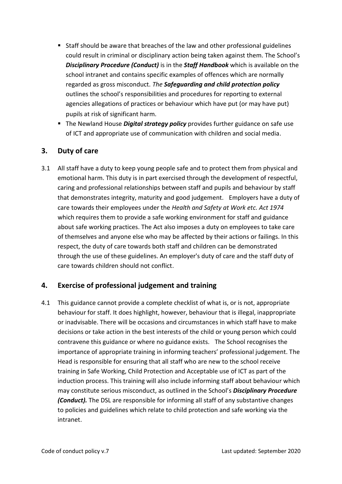- Staff should be aware that breaches of the law and other professional guidelines could result in criminal or disciplinary action being taken against them. The School's *Disciplinary Procedure (Conduct)* is in the *Staff Handbook* which is available on the school intranet and contains specific examples of offences which are normally regarded as gross misconduct. *The Safeguarding and child protection policy* outlines the school's responsibilities and procedures for reporting to external agencies allegations of practices or behaviour which have put (or may have put) pupils at risk of significant harm.
- The Newland House *Digital strategy policy* provides further guidance on safe use of ICT and appropriate use of communication with children and social media.

# <span id="page-3-0"></span>**3. Duty of care**

3.1 All staff have a duty to keep young people safe and to protect them from physical and emotional harm. This duty is in part exercised through the development of respectful, caring and professional relationships between staff and pupils and behaviour by staff that demonstrates integrity, maturity and good judgement. Employers have a duty of care towards their employees under the *Health and Safety at Work etc. Act 1974* which requires them to provide a safe working environment for staff and guidance about safe working practices. The Act also imposes a duty on employees to take care of themselves and anyone else who may be affected by their actions or failings. In this respect, the duty of care towards both staff and children can be demonstrated through the use of these guidelines. An employer's duty of care and the staff duty of care towards children should not conflict.

#### <span id="page-3-1"></span>**4. Exercise of professional judgement and training**

4.1 This guidance cannot provide a complete checklist of what is, or is not, appropriate behaviour for staff. It does highlight, however, behaviour that is illegal, inappropriate or inadvisable. There will be occasions and circumstances in which staff have to make decisions or take action in the best interests of the child or young person which could contravene this guidance or where no guidance exists. The School recognises the importance of appropriate training in informing teachers' professional judgement. The Head is responsible for ensuring that all staff who are new to the school receive training in Safe Working, Child Protection and Acceptable use of ICT as part of the induction process. This training will also include informing staff about behaviour which may constitute serious misconduct, as outlined in the School's *Disciplinary Procedure (Conduct).* The DSL are responsible for informing all staff of any substantive changes to policies and guidelines which relate to child protection and safe working via the intranet.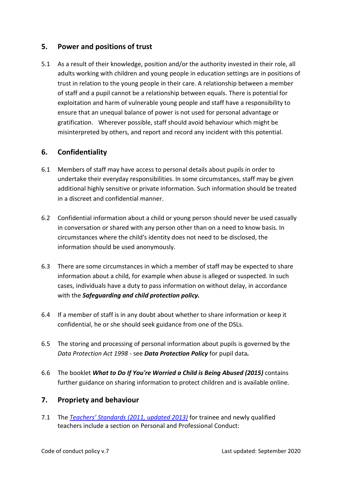# <span id="page-4-0"></span>**5. Power and positions of trust**

5.1 As a result of their knowledge, position and/or the authority invested in their role, all adults working with children and young people in education settings are in positions of trust in relation to the young people in their care. A relationship between a member of staff and a pupil cannot be a relationship between equals. There is potential for exploitation and harm of vulnerable young people and staff have a responsibility to ensure that an unequal balance of power is not used for personal advantage or gratification. Wherever possible, staff should avoid behaviour which might be misinterpreted by others, and report and record any incident with this potential.

# <span id="page-4-1"></span>**6. Confidentiality**

- 6.1 Members of staff may have access to personal details about pupils in order to undertake their everyday responsibilities. In some circumstances, staff may be given additional highly sensitive or private information. Such information should be treated in a discreet and confidential manner.
- 6.2 Confidential information about a child or young person should never be used casually in conversation or shared with any person other than on a need to know basis. In circumstances where the child's identity does not need to be disclosed, the information should be used anonymously.
- 6.3 There are some circumstances in which a member of staff may be expected to share information about a child, for example when abuse is alleged or suspected. In such cases, individuals have a duty to pass information on without delay, in accordance with the *Safeguarding and child protection policy.*
- 6.4 If a member of staff is in any doubt about whether to share information or keep it confidential, he or she should seek guidance from one of the DSLs.
- 6.5 The storing and processing of personal information about pupils is governed by the *Data Protection Act 1998 -* see *Data Protection Policy* for pupil data*.*
- 6.6 The booklet *What to Do If You're Worried a Child is Being Abused (2015)* contains further guidance on sharing information to protect children and is available online.

#### <span id="page-4-2"></span>**7. Propriety and behaviour**

7.1 The *Teachers' Standards [\(2011, updated 2013\)](https://www.gov.uk/government/uploads/system/uploads/attachment_data/file/301107/Teachers__Standards.pdf)* for trainee and newly qualified teachers include a section on Personal and Professional Conduct: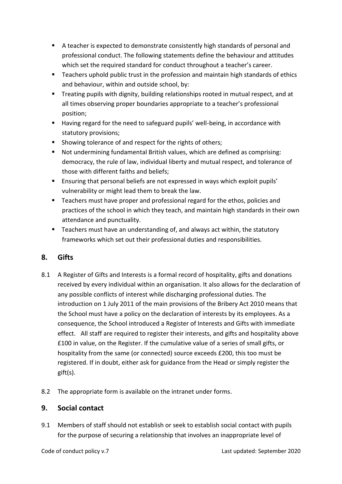- A teacher is expected to demonstrate consistently high standards of personal and professional conduct. The following statements define the behaviour and attitudes which set the required standard for conduct throughout a teacher's career.
- Teachers uphold public trust in the profession and maintain high standards of ethics and behaviour, within and outside school, by:
- **E** Treating pupils with dignity, building relationships rooted in mutual respect, and at all times observing proper boundaries appropriate to a teacher's professional position;
- Having regard for the need to safeguard pupils' well-being, in accordance with statutory provisions;
- Showing tolerance of and respect for the rights of others;
- Not undermining fundamental British values, which are defined as comprising: democracy, the rule of law, individual liberty and mutual respect, and tolerance of those with different faiths and beliefs;
- Ensuring that personal beliefs are not expressed in ways which exploit pupils' vulnerability or might lead them to break the law.
- Teachers must have proper and professional regard for the ethos, policies and practices of the school in which they teach, and maintain high standards in their own attendance and punctuality.
- Teachers must have an understanding of, and always act within, the statutory frameworks which set out their professional duties and responsibilities.

# <span id="page-5-0"></span>**8. Gifts**

- 8.1 A Register of Gifts and Interests is a formal record of hospitality, gifts and donations received by every individual within an organisation. It also allows for the declaration of any possible conflicts of interest while discharging professional duties. The introduction on 1 July 2011 of the main provisions of the Bribery Act 2010 means that the School must have a policy on the declaration of interests by its employees. As a consequence, the School introduced a Register of Interests and Gifts with immediate effect. All staff are required to register their interests, and gifts and hospitality above £100 in value, on the Register. If the cumulative value of a series of small gifts, or hospitality from the same (or connected) source exceeds £200, this too must be registered. If in doubt, either ask for guidance from the Head or simply register the gift(s).
- 8.2 The appropriate form is available on the intranet under forms.

#### <span id="page-5-1"></span>**9. Social contact**

9.1 Members of staff should not establish or seek to establish social contact with pupils for the purpose of securing a relationship that involves an inappropriate level of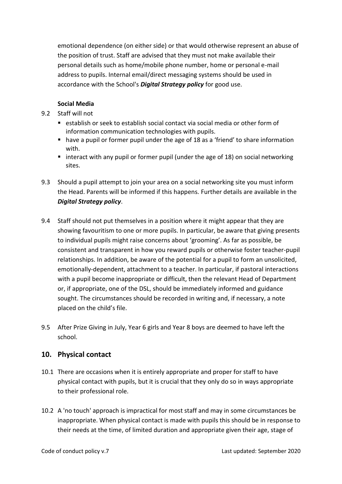emotional dependence (on either side) or that would otherwise represent an abuse of the position of trust. Staff are advised that they must not make available their personal details such as home/mobile phone number, home or personal e-mail address to pupils. Internal email/direct messaging systems should be used in accordance with the School's *Digital Strategy policy* for good use.

#### **Social Media**

- 9.2 Staff will not
	- establish or seek to establish social contact via social media or other form of information communication technologies with pupils.
	- have a pupil or former pupil under the age of 18 as a 'friend' to share information with.
	- interact with any pupil or former pupil (under the age of 18) on social networking sites.
- 9.3 Should a pupil attempt to join your area on a social networking site you must inform the Head. Parents will be informed if this happens. Further details are available in the *Digital Strategy policy*.
- 9.4 Staff should not put themselves in a position where it might appear that they are showing favouritism to one or more pupils. In particular, be aware that giving presents to individual pupils might raise concerns about 'grooming'. As far as possible, be consistent and transparent in how you reward pupils or otherwise foster teacher-pupil relationships. In addition, be aware of the potential for a pupil to form an unsolicited, emotionally-dependent, attachment to a teacher. In particular, if pastoral interactions with a pupil become inappropriate or difficult, then the relevant Head of Department or, if appropriate, one of the DSL, should be immediately informed and guidance sought. The circumstances should be recorded in writing and, if necessary, a note placed on the child's file.
- 9.5 After Prize Giving in July, Year 6 girls and Year 8 boys are deemed to have left the school.

#### <span id="page-6-0"></span>**10. Physical contact**

- 10.1 There are occasions when it is entirely appropriate and proper for staff to have physical contact with pupils, but it is crucial that they only do so in ways appropriate to their professional role.
- 10.2 A 'no touch' approach is impractical for most staff and may in some circumstances be inappropriate. When physical contact is made with pupils this should be in response to their needs at the time, of limited duration and appropriate given their age, stage of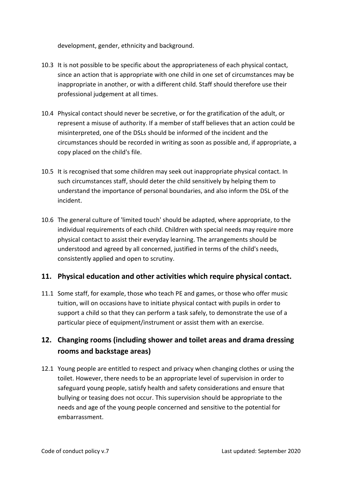development, gender, ethnicity and background.

- 10.3 It is not possible to be specific about the appropriateness of each physical contact, since an action that is appropriate with one child in one set of circumstances may be inappropriate in another, or with a different child. Staff should therefore use their professional judgement at all times.
- 10.4 Physical contact should never be secretive, or for the gratification of the adult, or represent a misuse of authority. If a member of staff believes that an action could be misinterpreted, one of the DSLs should be informed of the incident and the circumstances should be recorded in writing as soon as possible and, if appropriate, a copy placed on the child's file.
- 10.5 It is recognised that some children may seek out inappropriate physical contact. In such circumstances staff, should deter the child sensitively by helping them to understand the importance of personal boundaries, and also inform the DSL of the incident.
- 10.6 The general culture of 'limited touch' should be adapted, where appropriate, to the individual requirements of each child. Children with special needs may require more physical contact to assist their everyday learning. The arrangements should be understood and agreed by all concerned, justified in terms of the child's needs, consistently applied and open to scrutiny.

# <span id="page-7-0"></span>**11. Physical education and other activities which require physical contact.**

11.1 Some staff, for example, those who teach PE and games, or those who offer music tuition, will on occasions have to initiate physical contact with pupils in order to support a child so that they can perform a task safely, to demonstrate the use of a particular piece of equipment/instrument or assist them with an exercise.

# <span id="page-7-1"></span>**12. Changing rooms (including shower and toilet areas and drama dressing rooms and backstage areas)**

12.1 Young people are entitled to respect and privacy when changing clothes or using the toilet. However, there needs to be an appropriate level of supervision in order to safeguard young people, satisfy health and safety considerations and ensure that bullying or teasing does not occur. This supervision should be appropriate to the needs and age of the young people concerned and sensitive to the potential for embarrassment.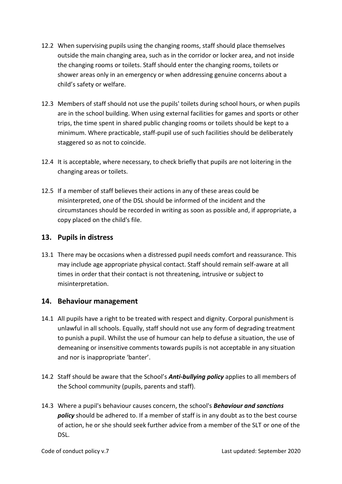- 12.2 When supervising pupils using the changing rooms, staff should place themselves outside the main changing area, such as in the corridor or locker area, and not inside the changing rooms or toilets. Staff should enter the changing rooms, toilets or shower areas only in an emergency or when addressing genuine concerns about a child's safety or welfare.
- 12.3 Members of staff should not use the pupils' toilets during school hours, or when pupils are in the school building. When using external facilities for games and sports or other trips, the time spent in shared public changing rooms or toilets should be kept to a minimum. Where practicable, staff-pupil use of such facilities should be deliberately staggered so as not to coincide.
- 12.4 It is acceptable, where necessary, to check briefly that pupils are not loitering in the changing areas or toilets.
- 12.5 If a member of staff believes their actions in any of these areas could be misinterpreted, one of the DSL should be informed of the incident and the circumstances should be recorded in writing as soon as possible and, if appropriate, a copy placed on the child's file.

#### <span id="page-8-0"></span>**13. Pupils in distress**

13.1 There may be occasions when a distressed pupil needs comfort and reassurance. This may include age appropriate physical contact. Staff should remain self-aware at all times in order that their contact is not threatening, intrusive or subject to misinterpretation.

#### <span id="page-8-1"></span>**14. Behaviour management**

- 14.1 All pupils have a right to be treated with respect and dignity. Corporal punishment is unlawful in all schools. Equally, staff should not use any form of degrading treatment to punish a pupil. Whilst the use of humour can help to defuse a situation, the use of demeaning or insensitive comments towards pupils is not acceptable in any situation and nor is inappropriate 'banter'.
- 14.2 Staff should be aware that the School's *Anti-bullying policy* applies to all members of the School community (pupils, parents and staff).
- 14.3 Where a pupil's behaviour causes concern, the school's *Behaviour and sanctions policy* should be adhered to. If a member of staff is in any doubt as to the best course of action, he or she should seek further advice from a member of the SLT or one of the DSL.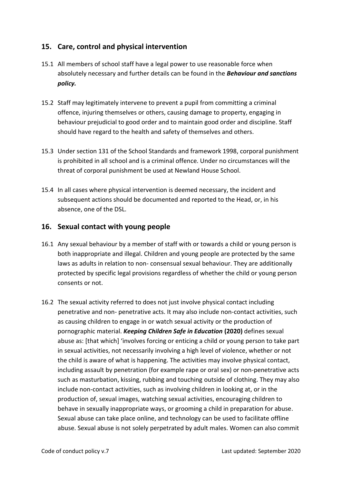# <span id="page-9-0"></span>**15. Care, control and physical intervention**

- 15.1 All members of school staff have a legal power to use reasonable force when absolutely necessary and further details can be found in the *Behaviour and sanctions policy.*
- 15.2 Staff may legitimately intervene to prevent a pupil from committing a criminal offence, injuring themselves or others, causing damage to property, engaging in behaviour prejudicial to good order and to maintain good order and discipline. Staff should have regard to the health and safety of themselves and others.
- 15.3 Under section 131 of the School Standards and framework 1998, corporal punishment is prohibited in all school and is a criminal offence. Under no circumstances will the threat of corporal punishment be used at Newland House School.
- 15.4 In all cases where physical intervention is deemed necessary, the incident and subsequent actions should be documented and reported to the Head, or, in his absence, one of the DSL.

#### <span id="page-9-1"></span>**16. Sexual contact with young people**

- 16.1 Any sexual behaviour by a member of staff with or towards a child or young person is both inappropriate and illegal. Children and young people are protected by the same laws as adults in relation to non- consensual sexual behaviour. They are additionally protected by specific legal provisions regardless of whether the child or young person consents or not.
- 16.2 The sexual activity referred to does not just involve physical contact including penetrative and non- penetrative acts. It may also include non-contact activities, such as causing children to engage in or watch sexual activity or the production of pornographic material. *Keeping Children Safe in Education* **(2020)** defines sexual abuse as: [that which] 'involves forcing or enticing a child or young person to take part in sexual activities, not necessarily involving a high level of violence, whether or not the child is aware of what is happening. The activities may involve physical contact, including assault by penetration (for example rape or oral sex) or non-penetrative acts such as masturbation, kissing, rubbing and touching outside of clothing. They may also include non-contact activities, such as involving children in looking at, or in the production of, sexual images, watching sexual activities, encouraging children to behave in sexually inappropriate ways, or grooming a child in preparation for abuse. Sexual abuse can take place online, and technology can be used to facilitate offline abuse. Sexual abuse is not solely perpetrated by adult males. Women can also commit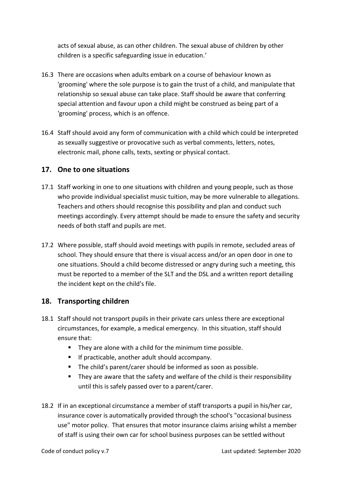acts of sexual abuse, as can other children. The sexual abuse of children by other children is a specific safeguarding issue in education.'

- 16.3 There are occasions when adults embark on a course of behaviour known as 'grooming' where the sole purpose is to gain the trust of a child, and manipulate that relationship so sexual abuse can take place. Staff should be aware that conferring special attention and favour upon a child might be construed as being part of a 'grooming' process, which is an offence.
- 16.4 Staff should avoid any form of communication with a child which could be interpreted as sexually suggestive or provocative such as verbal comments, letters, notes, electronic mail, phone calls, texts, sexting or physical contact.

#### <span id="page-10-0"></span>**17. One to one situations**

- 17.1 Staff working in one to one situations with children and young people, such as those who provide individual specialist music tuition, may be more vulnerable to allegations. Teachers and others should recognise this possibility and plan and conduct such meetings accordingly. Every attempt should be made to ensure the safety and security needs of both staff and pupils are met.
- 17.2 Where possible, staff should avoid meetings with pupils in remote, secluded areas of school. They should ensure that there is visual access and/or an open door in one to one situations. Should a child become distressed or angry during such a meeting, this must be reported to a member of the SLT and the DSL and a written report detailing the incident kept on the child's file.

#### <span id="page-10-1"></span>**18. Transporting children**

- 18.1 Staff should not transport pupils in their private cars unless there are exceptional circumstances, for example, a medical emergency. In this situation, staff should ensure that:
	- They are alone with a child for the minimum time possible.
	- If practicable, another adult should accompany.
	- The child's parent/carer should be informed as soon as possible.
	- They are aware that the safety and welfare of the child is their responsibility until this is safely passed over to a parent/carer.
- 18.2 If in an exceptional circumstance a member of staff transports a pupil in his/her car, insurance cover is automatically provided through the school's "occasional business use" motor policy. That ensures that motor insurance claims arising whilst a member of staff is using their own car for school business purposes can be settled without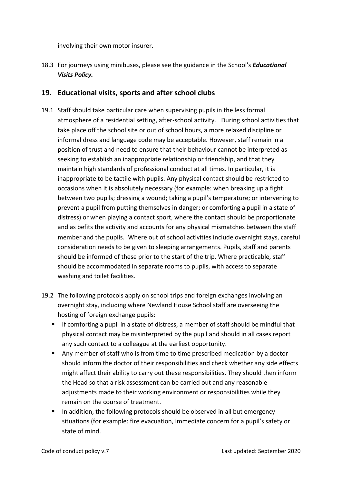involving their own motor insurer.

18.3 For journeys using minibuses, please see the guidance in the School's *Educational Visits Policy.*

#### <span id="page-11-0"></span>**19. Educational visits, sports and after school clubs**

- 19.1 Staff should take particular care when supervising pupils in the less formal atmosphere of a residential setting, after-school activity. During school activities that take place off the school site or out of school hours, a more relaxed discipline or informal dress and language code may be acceptable. However, staff remain in a position of trust and need to ensure that their behaviour cannot be interpreted as seeking to establish an inappropriate relationship or friendship, and that they maintain high standards of professional conduct at all times. In particular, it is inappropriate to be tactile with pupils. Any physical contact should be restricted to occasions when it is absolutely necessary (for example: when breaking up a fight between two pupils; dressing a wound; taking a pupil's temperature; or intervening to prevent a pupil from putting themselves in danger; or comforting a pupil in a state of distress) or when playing a contact sport, where the contact should be proportionate and as befits the activity and accounts for any physical mismatches between the staff member and the pupils. Where out of school activities include overnight stays, careful consideration needs to be given to sleeping arrangements. Pupils, staff and parents should be informed of these prior to the start of the trip. Where practicable, staff should be accommodated in separate rooms to pupils, with access to separate washing and toilet facilities.
- 19.2 The following protocols apply on school trips and foreign exchanges involving an overnight stay, including where Newland House School staff are overseeing the hosting of foreign exchange pupils:
	- If comforting a pupil in a state of distress, a member of staff should be mindful that physical contact may be misinterpreted by the pupil and should in all cases report any such contact to a colleague at the earliest opportunity.
	- Any member of staff who is from time to time prescribed medication by a doctor should inform the doctor of their responsibilities and check whether any side effects might affect their ability to carry out these responsibilities. They should then inform the Head so that a risk assessment can be carried out and any reasonable adjustments made to their working environment or responsibilities while they remain on the course of treatment.
	- In addition, the following protocols should be observed in all but emergency situations (for example: fire evacuation, immediate concern for a pupil's safety or state of mind.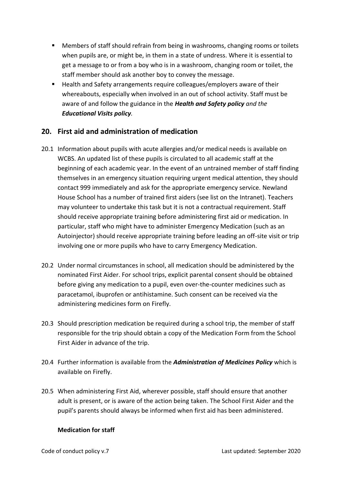- Members of staff should refrain from being in washrooms, changing rooms or toilets when pupils are, or might be, in them in a state of undress. Where it is essential to get a message to or from a boy who is in a washroom, changing room or toilet, the staff member should ask another boy to convey the message.
- Health and Safety arrangements require colleagues/employers aware of their whereabouts, especially when involved in an out of school activity. Staff must be aware of and follow the guidance in the *Health and Safety policy and the Educational Visits policy.*

#### <span id="page-12-0"></span>**20. First aid and administration of medication**

- 20.1 Information about pupils with acute allergies and/or medical needs is available on WCBS. An updated list of these pupils is circulated to all academic staff at the beginning of each academic year. In the event of an untrained member of staff finding themselves in an emergency situation requiring urgent medical attention, they should contact 999 immediately and ask for the appropriate emergency service. Newland House School has a number of trained first aiders (see list on the Intranet). Teachers may volunteer to undertake this task but it is not a contractual requirement. Staff should receive appropriate training before administering first aid or medication. In particular, staff who might have to administer Emergency Medication (such as an Autoinjector) should receive appropriate training before leading an off-site visit or trip involving one or more pupils who have to carry Emergency Medication.
- 20.2 Under normal circumstances in school, all medication should be administered by the nominated First Aider. For school trips, explicit parental consent should be obtained before giving any medication to a pupil, even over-the-counter medicines such as paracetamol, ibuprofen or antihistamine. Such consent can be received via the administering medicines form on Firefly.
- 20.3 Should prescription medication be required during a school trip, the member of staff responsible for the trip should obtain a copy of the Medication Form from the School First Aider in advance of the trip.
- 20.4 Further information is available from the *Administration of Medicines Policy* which is available on Firefly.
- 20.5 When administering First Aid, wherever possible, staff should ensure that another adult is present, or is aware of the action being taken. The School First Aider and the pupil's parents should always be informed when first aid has been administered.

#### **Medication for staff**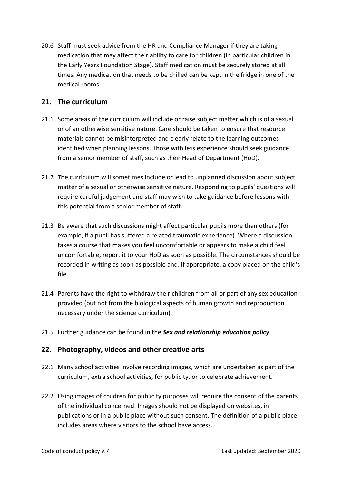20.6 Staff must seek advice from the HR and Compliance Manager if they are taking medication that may affect their ability to care for children (in particular children in the Early Years Foundation Stage). Staff medication must be securely stored at all times. Any medication that needs to be chilled can be kept in the fridge in one of the medical rooms.

#### <span id="page-13-0"></span>**21. The curriculum**

- 21.1 Some areas of the curriculum will include or raise subject matter which is of a sexual or of an otherwise sensitive nature. Care should be taken to ensure that resource materials cannot be misinterpreted and clearly relate to the learning outcomes identified when planning lessons. Those with less experience should seek guidance from a senior member of staff, such as their Head of Department (HoD).
- 21.2 The curriculum will sometimes include or lead to unplanned discussion about subject matter of a sexual or otherwise sensitive nature. Responding to pupils' questions will require careful judgement and staff may wish to take guidance before lessons with this potential from a senior member of staff.
- 21.3 Be aware that such discussions might affect particular pupils more than others (for example, if a pupil has suffered a related traumatic experience). Where a discussion takes a course that makes you feel uncomfortable or appears to make a child feel uncomfortable, report it to your HoD as soon as possible. The circumstances should be recorded in writing as soon as possible and, if appropriate, a copy placed on the child's file.
- 21.4 Parents have the right to withdraw their children from all or part of any sex education provided (but not from the biological aspects of human growth and reproduction necessary under the science curriculum).
- 21.5 Further guidance can be found in the *Sex and relationship education policy*.

#### <span id="page-13-1"></span>**22. Photography, videos and other creative arts**

- 22.1 Many school activities involve recording images, which are undertaken as part of the curriculum, extra school activities, for publicity, or to celebrate achievement.
- 22.2 Using images of children for publicity purposes will require the consent of the parents of the individual concerned. Images should not be displayed on websites, in publications or in a public place without such consent. The definition of a public place includes areas where visitors to the school have access.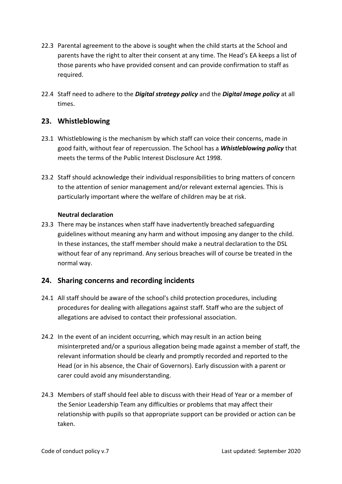- 22.3 Parental agreement to the above is sought when the child starts at the School and parents have the right to alter their consent at any time. The Head's EA keeps a list of those parents who have provided consent and can provide confirmation to staff as required.
- 22.4 Staff need to adhere to the *Digital strategy policy* and the *Digital Image policy* at all times.

#### <span id="page-14-0"></span>**23. Whistleblowing**

- 23.1 Whistleblowing is the mechanism by which staff can voice their concerns, made in good faith, without fear of repercussion. The School has a *Whistleblowing policy* that meets the terms of the Public Interest Disclosure Act 1998.
- 23.2 Staff should acknowledge their individual responsibilities to bring matters of concern to the attention of senior management and/or relevant external agencies. This is particularly important where the welfare of children may be at risk.

#### **Neutral declaration**

23.3 There may be instances when staff have inadvertently breached safeguarding guidelines without meaning any harm and without imposing any danger to the child. In these instances, the staff member should make a neutral declaration to the DSL without fear of any reprimand. Any serious breaches will of course be treated in the normal way.

# <span id="page-14-1"></span>**24. Sharing concerns and recording incidents**

- 24.1 All staff should be aware of the school's child protection procedures, including procedures for dealing with allegations against staff. Staff who are the subject of allegations are advised to contact their professional association.
- 24.2 In the event of an incident occurring, which may result in an action being misinterpreted and/or a spurious allegation being made against a member of staff, the relevant information should be clearly and promptly recorded and reported to the Head (or in his absence, the Chair of Governors). Early discussion with a parent or carer could avoid any misunderstanding.
- 24.3 Members of staff should feel able to discuss with their Head of Year or a member of the Senior Leadership Team any difficulties or problems that may affect their relationship with pupils so that appropriate support can be provided or action can be taken.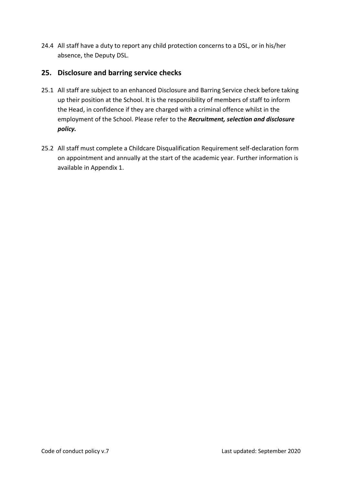24.4 All staff have a duty to report any child protection concerns to a DSL, or in his/her absence, the Deputy DSL.

# <span id="page-15-0"></span>**25. Disclosure and barring service checks**

- 25.1 All staff are subject to an enhanced Disclosure and Barring Service check before taking up their position at the School. It is the responsibility of members of staff to inform the Head, in confidence if they are charged with a criminal offence whilst in the employment of the School. Please refer to the *Recruitment, selection and disclosure policy.*
- 25.2 All staff must complete a Childcare Disqualification Requirement self-declaration form on appointment and annually at the start of the academic year. Further information is available in Appendix 1.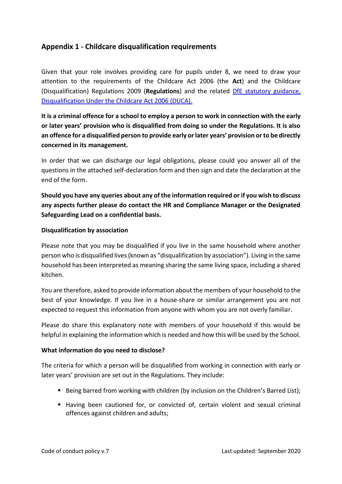# <span id="page-16-0"></span>**Appendix 1 - Childcare disqualification requirements**

Given that your role involves providing care for pupils under 8, we need to draw your attention to the requirements of the Childcare Act 2006 (the **Act**) and the Childcare (Disqualification) Regulations 2009 (**Regulations**) and the related DfE [statutory guidance,](https://www.gov.uk/government/uploads/system/uploads/attachment_data/file/414345/disqual_stat-guidance_Feb_15__3_.pdf)  [Disqualification Under the Childcare Act 2006 \(DUCA\).](https://www.gov.uk/government/uploads/system/uploads/attachment_data/file/414345/disqual_stat-guidance_Feb_15__3_.pdf)

**It is a criminal offence for a school to employ a person to work in connection with the early or later years' provision who is disqualified from doing so under the Regulations. It is also an offence for a disqualified person to provide early or later years' provision or to be directly concerned in its management.**

In order that we can discharge our legal obligations, please could you answer all of the questions in the attached self-declaration form and then sign and date the declaration at the end of the form.

**Should you have any queries about any of the information required or if you wish to discuss any aspects further please do contact the HR and Compliance Manager or the Designated Safeguarding Lead on a confidential basis.**

#### **Disqualification by association**

Please note that you may be disqualified if you live in the same household where another person who is disqualified lives (known as "disqualification by association"). Living in the same household has been interpreted as meaning sharing the same living space, including a shared kitchen.

You are therefore, asked to provide information about the members of your household to the best of your knowledge. If you live in a house-share or similar arrangement you are not expected to request this information from anyone with whom you are not overly familiar.

Please do share this explanatory note with members of your household if this would be helpful in explaining the information which is needed and how this will be used by the School.

#### **What information do you need to disclose?**

The criteria for which a person will be disqualified from working in connection with early or later years' provision are set out in the Regulations. They include:

- Being barred from working with children (by inclusion on the Children's Barred List);
- Having been cautioned for, or convicted of, certain violent and sexual criminal offences against children and adults;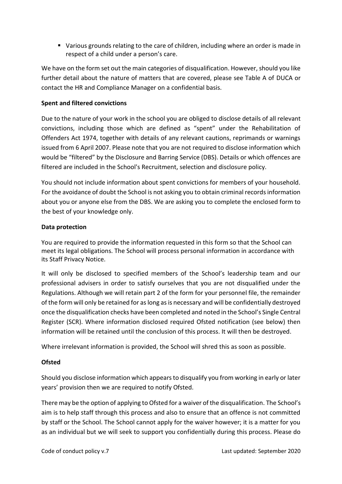■ Various grounds relating to the care of children, including where an order is made in respect of a child under a person's care.

We have on the form set out the main categories of disqualification. However, should you like further detail about the nature of matters that are covered, please see Table A of DUCA or contact the HR and Compliance Manager on a confidential basis.

#### **Spent and filtered convictions**

Due to the nature of your work in the school you are obliged to disclose details of all relevant convictions, including those which are defined as "spent" under the Rehabilitation of Offenders Act 1974, together with details of any relevant cautions, reprimands or warnings issued from 6 April 2007. Please note that you are not required to disclose information which would be "filtered" by the Disclosure and Barring Service (DBS). Details or which offences are filtered are included in the School's Recruitment, selection and disclosure policy.

You should not include information about spent convictions for members of your household. For the avoidance of doubt the School is not asking you to obtain criminal records information about you or anyone else from the DBS. We are asking you to complete the enclosed form to the best of your knowledge only.

#### **Data protection**

You are required to provide the information requested in this form so that the School can meet its legal obligations. The School will process personal information in accordance with its Staff Privacy Notice.

It will only be disclosed to specified members of the School's leadership team and our professional advisers in order to satisfy ourselves that you are not disqualified under the Regulations. Although we will retain part 2 of the form for your personnel file, the remainder of the form will only be retained for as long as is necessary and will be confidentially destroyed once the disqualification checks have been completed and noted in the School's Single Central Register (SCR). Where information disclosed required Ofsted notification (see below) then information will be retained until the conclusion of this process. It will then be destroyed.

Where irrelevant information is provided, the School will shred this as soon as possible.

#### **Ofsted**

Should you disclose information which appears to disqualify you from working in early or later years' provision then we are required to notify Ofsted.

There may be the option of applying to Ofsted for a waiver of the disqualification. The School's aim is to help staff through this process and also to ensure that an offence is not committed by staff or the School. The School cannot apply for the waiver however; it is a matter for you as an individual but we will seek to support you confidentially during this process. Please do